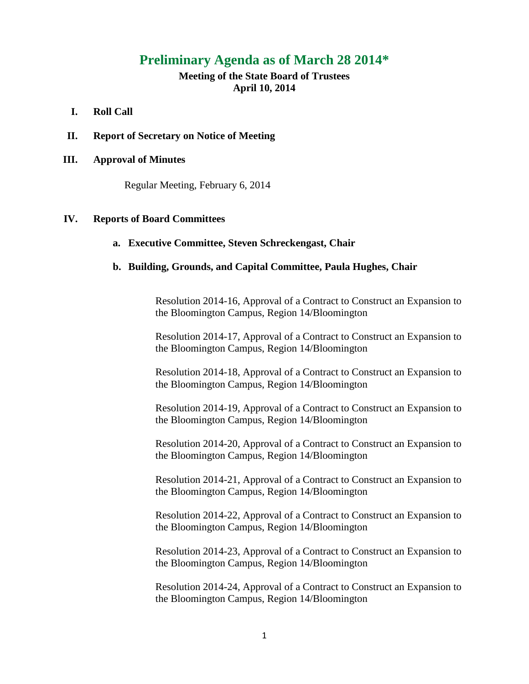# **Preliminary Agenda as of March 28 2014\***

# **Meeting of the State Board of Trustees April 10, 2014**

# **I. Roll Call**

**II. Report of Secretary on Notice of Meeting**

# **III. Approval of Minutes**

Regular Meeting, February 6, 2014

# **IV. Reports of Board Committees**

#### **a. Executive Committee, Steven Schreckengast, Chair**

### **b. Building, Grounds, and Capital Committee, Paula Hughes, Chair**

Resolution 2014-16, Approval of a Contract to Construct an Expansion to the Bloomington Campus, Region 14/Bloomington

Resolution 2014-17, Approval of a Contract to Construct an Expansion to the Bloomington Campus, Region 14/Bloomington

Resolution 2014-18, Approval of a Contract to Construct an Expansion to the Bloomington Campus, Region 14/Bloomington

Resolution 2014-19, Approval of a Contract to Construct an Expansion to the Bloomington Campus, Region 14/Bloomington

Resolution 2014-20, Approval of a Contract to Construct an Expansion to the Bloomington Campus, Region 14/Bloomington

Resolution 2014-21, Approval of a Contract to Construct an Expansion to the Bloomington Campus, Region 14/Bloomington

Resolution 2014-22, Approval of a Contract to Construct an Expansion to the Bloomington Campus, Region 14/Bloomington

Resolution 2014-23, Approval of a Contract to Construct an Expansion to the Bloomington Campus, Region 14/Bloomington

Resolution 2014-24, Approval of a Contract to Construct an Expansion to the Bloomington Campus, Region 14/Bloomington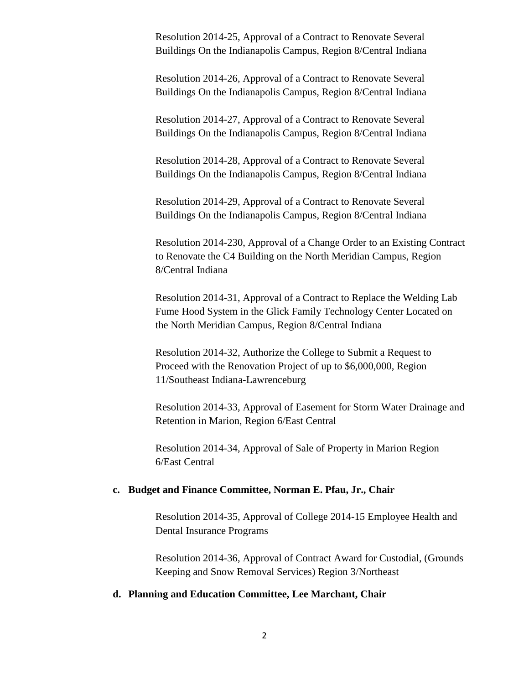Resolution 2014-25, Approval of a Contract to Renovate Several Buildings On the Indianapolis Campus, Region 8/Central Indiana

Resolution 2014-26, Approval of a Contract to Renovate Several Buildings On the Indianapolis Campus, Region 8/Central Indiana

Resolution 2014-27, Approval of a Contract to Renovate Several Buildings On the Indianapolis Campus, Region 8/Central Indiana

Resolution 2014-28, Approval of a Contract to Renovate Several Buildings On the Indianapolis Campus, Region 8/Central Indiana

Resolution 2014-29, Approval of a Contract to Renovate Several Buildings On the Indianapolis Campus, Region 8/Central Indiana

Resolution 2014-230, Approval of a Change Order to an Existing Contract to Renovate the C4 Building on the North Meridian Campus, Region 8/Central Indiana

Resolution 2014-31, Approval of a Contract to Replace the Welding Lab Fume Hood System in the Glick Family Technology Center Located on the North Meridian Campus, Region 8/Central Indiana

Resolution 2014-32, Authorize the College to Submit a Request to Proceed with the Renovation Project of up to \$6,000,000, Region 11/Southeast Indiana-Lawrenceburg

Resolution 2014-33, Approval of Easement for Storm Water Drainage and Retention in Marion, Region 6/East Central

Resolution 2014-34, Approval of Sale of Property in Marion Region 6/East Central

# **c. Budget and Finance Committee, Norman E. Pfau, Jr., Chair**

Resolution 2014-35, Approval of College 2014-15 Employee Health and Dental Insurance Programs

Resolution 2014-36, Approval of Contract Award for Custodial, (Grounds Keeping and Snow Removal Services) Region 3/Northeast

## **d. Planning and Education Committee, Lee Marchant, Chair**